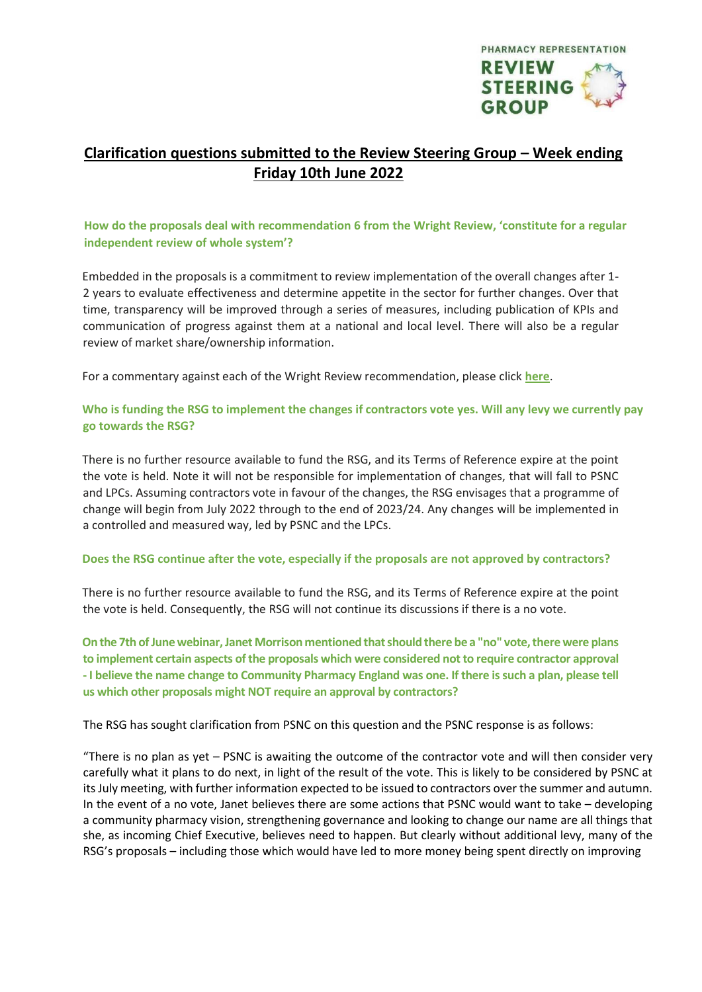

## **Clarification questions submitted to the Review Steering Group – Week ending Friday 10th June 2022**

## **How do the proposals deal with recommendation 6 from the Wright Review, 'constitute for a regular independent review of whole system'?**

Embedded in the proposals is a commitment to review implementation of the overall changes after 1- 2 years to evaluate effectiveness and determine appetite in the sector for further changes. Over that time, transparency will be improved through a series of measures, including publication of KPIs and communication of progress against them at a national and local level. There will also be a regular review of market share/ownership information.

For a commentary against each of the Wright Review recommendation, please click **[here](https://pharmacyreview175657019.files.wordpress.com/2022/04/appendix-1-rsg-proposals.pdf)**[.](https://pharmacyreview175657019.files.wordpress.com/2022/04/appendix-1-rsg-proposals.pdf) 

## **Who is funding the RSG to implement the changes if contractors vote yes. Will any levy we currently pay go towards the RSG?**

There is no further resource available to fund the RSG, and its Terms of Reference expire at the point the vote is held. Note it will not be responsible for implementation of changes, that will fall to PSNC and LPCs. Assuming contractors vote in favour of the changes, the RSG envisages that a programme of change will begin from July 2022 through to the end of 2023/24. Any changes will be implemented in a controlled and measured way, led by PSNC and the LPCs.

## **Does the RSG continue after the vote, especially if the proposals are not approved by contractors?**

There is no further resource available to fund the RSG, and its Terms of Reference expire at the point the vote is held. Consequently, the RSG will not continue its discussions if there is a no vote.

**On the 7th ofJunewebinar,Janet Morrison mentioned thatshould there be a "no" vote,therewere plans to implement certain aspects ofthe proposals which were considered not to require contractor approval** - I believe the name change to Community Pharmacy England was one. If there is such a plan, please tell **us which other proposals might NOT require an approval by contractors?**

The RSG has sought clarification from PSNC on this question and the PSNC response is as follows:

"There is no plan as yet – PSNC is awaiting the outcome of the contractor vote and will then consider very carefully what it plans to do next, in light of the result of the vote. This is likely to be considered by PSNC at its July meeting, with further information expected to be issued to contractors over the summer and autumn. In the event of a no vote, Janet believes there are some actions that PSNC would want to take – developing a community pharmacy vision, strengthening governance and looking to change our name are all things that she, as incoming Chief Executive, believes need to happen. But clearly without additional levy, many of the RSG's proposals – including those which would have led to more money being spent directly on improving